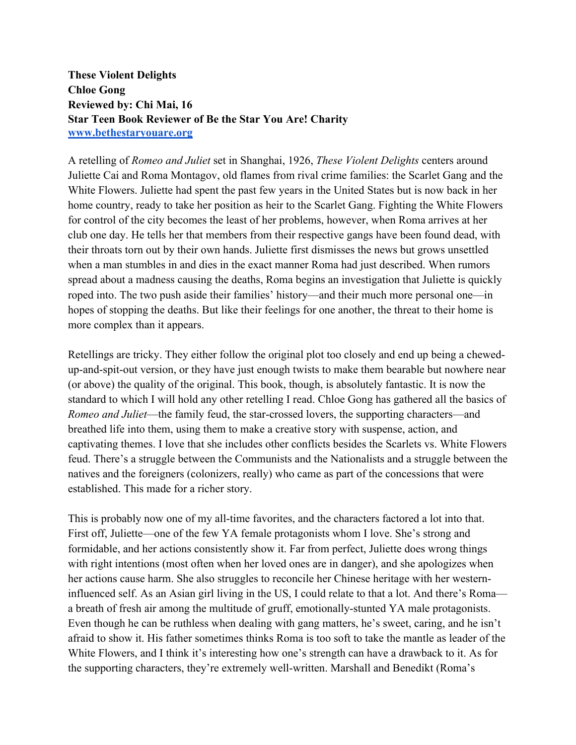**These Violent Delights Chloe Gong Reviewed by: Chi Mai, 16 Star Teen Book Reviewer of Be the Star You Are! Charity www.bethestaryouare.org**

A retelling of *Romeo and Juliet* set in Shanghai, 1926, *These Violent Delights* centers around Juliette Cai and Roma Montagov, old flames from rival crime families: the Scarlet Gang and the White Flowers. Juliette had spent the past few years in the United States but is now back in her home country, ready to take her position as heir to the Scarlet Gang. Fighting the White Flowers for control of the city becomes the least of her problems, however, when Roma arrives at her club one day. He tells her that members from their respective gangs have been found dead, with their throats torn out by their own hands. Juliette first dismisses the news but grows unsettled when a man stumbles in and dies in the exact manner Roma had just described. When rumors spread about a madness causing the deaths, Roma begins an investigation that Juliette is quickly roped into. The two push aside their families' history—and their much more personal one—in hopes of stopping the deaths. But like their feelings for one another, the threat to their home is more complex than it appears.

Retellings are tricky. They either follow the original plot too closely and end up being a chewedup-and-spit-out version, or they have just enough twists to make them bearable but nowhere near (or above) the quality of the original. This book, though, is absolutely fantastic. It is now the standard to which I will hold any other retelling I read. Chloe Gong has gathered all the basics of *Romeo and Juliet*—the family feud, the star-crossed lovers, the supporting characters—and breathed life into them, using them to make a creative story with suspense, action, and captivating themes. I love that she includes other conflicts besides the Scarlets vs. White Flowers feud. There's a struggle between the Communists and the Nationalists and a struggle between the natives and the foreigners (colonizers, really) who came as part of the concessions that were established. This made for a richer story.

This is probably now one of my all-time favorites, and the characters factored a lot into that. First off, Juliette—one of the few YA female protagonists whom I love. She's strong and formidable, and her actions consistently show it. Far from perfect, Juliette does wrong things with right intentions (most often when her loved ones are in danger), and she apologizes when her actions cause harm. She also struggles to reconcile her Chinese heritage with her westerninfluenced self. As an Asian girl living in the US, I could relate to that a lot. And there's Roma a breath of fresh air among the multitude of gruff, emotionally-stunted YA male protagonists. Even though he can be ruthless when dealing with gang matters, he's sweet, caring, and he isn't afraid to show it. His father sometimes thinks Roma is too soft to take the mantle as leader of the White Flowers, and I think it's interesting how one's strength can have a drawback to it. As for the supporting characters, they're extremely well-written. Marshall and Benedikt (Roma's